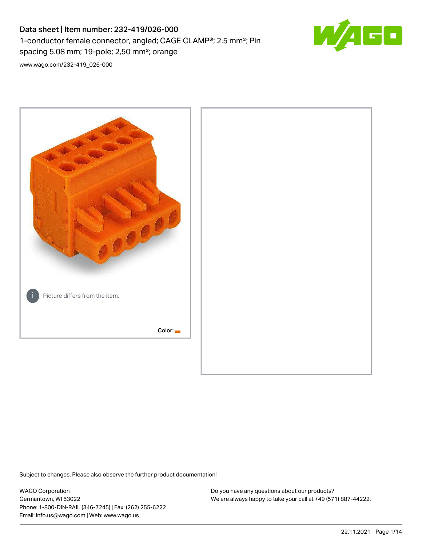# Data sheet | Item number: 232-419/026-000 1-conductor female connector, angled; CAGE CLAMP®; 2.5 mm²; Pin spacing 5.08 mm; 19-pole; 2,50 mm²; orange



[www.wago.com/232-419\\_026-000](http://www.wago.com/232-419_026-000)



Subject to changes. Please also observe the further product documentation!

WAGO Corporation Germantown, WI 53022 Phone: 1-800-DIN-RAIL (346-7245) | Fax: (262) 255-6222 Email: info.us@wago.com | Web: www.wago.us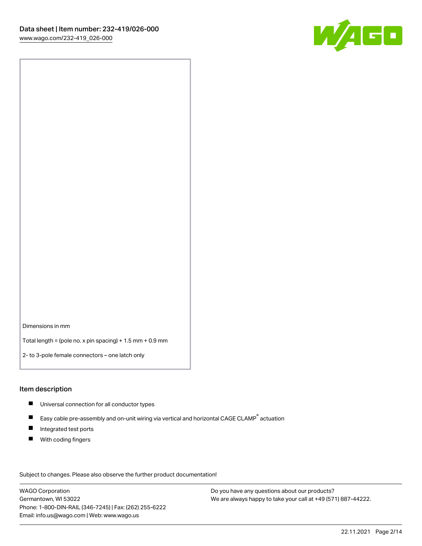

Dimensions in mm

Total length = (pole no. x pin spacing) + 1.5 mm + 0.9 mm

2- to 3-pole female connectors – one latch only

#### Item description

- **Universal connection for all conductor types**
- Easy cable pre-assembly and on-unit wiring via vertical and horizontal CAGE CLAMP<sup>®</sup> actuation  $\blacksquare$
- $\blacksquare$ Integrated test ports
- $\blacksquare$ With coding fingers

Subject to changes. Please also observe the further product documentation! Data

WAGO Corporation Germantown, WI 53022 Phone: 1-800-DIN-RAIL (346-7245) | Fax: (262) 255-6222 Email: info.us@wago.com | Web: www.wago.us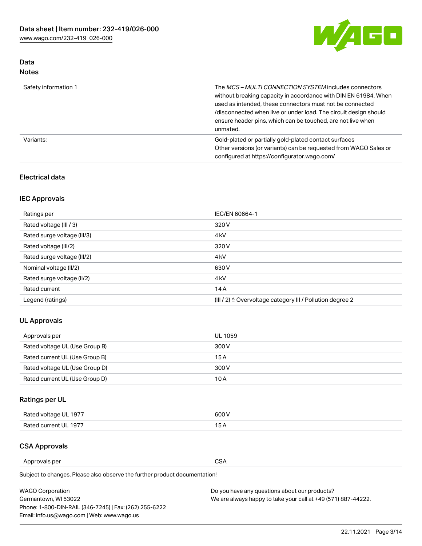

# Data Notes

| Safety information 1 | The MCS-MULTI CONNECTION SYSTEM includes connectors<br>without breaking capacity in accordance with DIN EN 61984. When<br>used as intended, these connectors must not be connected<br>/disconnected when live or under load. The circuit design should<br>ensure header pins, which can be touched, are not live when<br>unmated. |
|----------------------|-----------------------------------------------------------------------------------------------------------------------------------------------------------------------------------------------------------------------------------------------------------------------------------------------------------------------------------|
| Variants:            | Gold-plated or partially gold-plated contact surfaces<br>Other versions (or variants) can be requested from WAGO Sales or<br>configured at https://configurator.wago.com/                                                                                                                                                         |

## Electrical data

# IEC Approvals

| Ratings per                 | IEC/EN 60664-1                                                        |
|-----------------------------|-----------------------------------------------------------------------|
| Rated voltage (III / 3)     | 320 V                                                                 |
| Rated surge voltage (III/3) | 4 <sub>k</sub> V                                                      |
| Rated voltage (III/2)       | 320 V                                                                 |
| Rated surge voltage (III/2) | 4 <sub>k</sub> V                                                      |
| Nominal voltage (II/2)      | 630 V                                                                 |
| Rated surge voltage (II/2)  | 4 <sub>k</sub> V                                                      |
| Rated current               | 14A                                                                   |
| Legend (ratings)            | $(III / 2)$ $\triangle$ Overvoltage category III / Pollution degree 2 |

# UL Approvals

| Approvals per                  | UL 1059 |
|--------------------------------|---------|
| Rated voltage UL (Use Group B) | 300 V   |
| Rated current UL (Use Group B) | 15 A    |
| Rated voltage UL (Use Group D) | 300 V   |
| Rated current UL (Use Group D) | 10 A    |

# Ratings per UL

| Rated voltage UL 1977 | 300 V |
|-----------------------|-------|
| Rated current UL 1977 |       |

### CSA Approvals

Approvals per CSA

Subject to changes. Please also observe the further product documentation!

| <b>WAGO Corporation</b>                                | Do you have any questions about our products?                 |
|--------------------------------------------------------|---------------------------------------------------------------|
| Germantown, WI 53022                                   | We are always happy to take your call at +49 (571) 887-44222. |
| Phone: 1-800-DIN-RAIL (346-7245)   Fax: (262) 255-6222 |                                                               |
| Email: info.us@wago.com   Web: www.wago.us             |                                                               |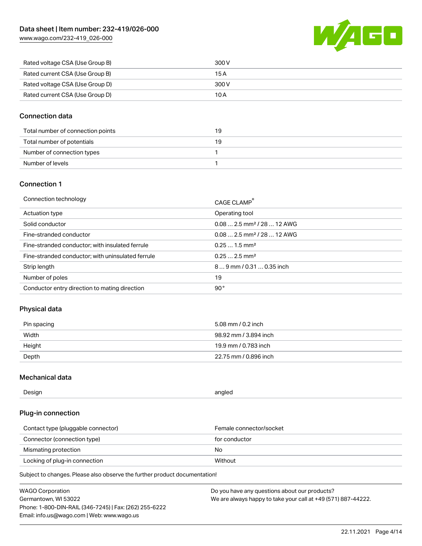[www.wago.com/232-419\\_026-000](http://www.wago.com/232-419_026-000)



| Rated voltage CSA (Use Group B) | 300 V |
|---------------------------------|-------|
| Rated current CSA (Use Group B) | 15 A  |
| Rated voltage CSA (Use Group D) | 300 V |
| Rated current CSA (Use Group D) | 10 A  |

## Connection data

| Total number of connection points | 19 |
|-----------------------------------|----|
| Total number of potentials        | 19 |
| Number of connection types        |    |
| Number of levels                  |    |

#### Connection 1

| Connection technology                             | CAGE CLAMP®                            |
|---------------------------------------------------|----------------------------------------|
| Actuation type                                    | Operating tool                         |
| Solid conductor                                   | $0.082.5$ mm <sup>2</sup> / 28  12 AWG |
| Fine-stranded conductor                           | $0.082.5$ mm <sup>2</sup> / 28  12 AWG |
| Fine-stranded conductor; with insulated ferrule   | $0.251.5$ mm <sup>2</sup>              |
| Fine-stranded conductor; with uninsulated ferrule | $0.252.5$ mm <sup>2</sup>              |
| Strip length                                      | $89$ mm $/ 0.310.35$ inch              |
| Number of poles                                   | 19                                     |
| Conductor entry direction to mating direction     | 90°                                    |

# Physical data

| Pin spacing | 5.08 mm / 0.2 inch    |
|-------------|-----------------------|
| Width       | 98.92 mm / 3.894 inch |
| Height      | 19.9 mm / 0.783 inch  |
| Depth       | 22.75 mm / 0.896 inch |

# Mechanical data

| Design<br>angled |  |
|------------------|--|
|------------------|--|

# Plug-in connection

| Contact type (pluggable connector) | Female connector/socket |
|------------------------------------|-------------------------|
| Connector (connection type)        | for conductor           |
| Mismating protection               | No.                     |
| Locking of plug-in connection      | Without                 |

Subject to changes. Please also observe the further product documentation!

| <b>WAGO Corporation</b>                                | Do you have any questions about our products?                 |
|--------------------------------------------------------|---------------------------------------------------------------|
| Germantown, WI 53022                                   | We are always happy to take your call at +49 (571) 887-44222. |
| Phone: 1-800-DIN-RAIL (346-7245)   Fax: (262) 255-6222 |                                                               |
| Email: info.us@wago.com   Web: www.wago.us             |                                                               |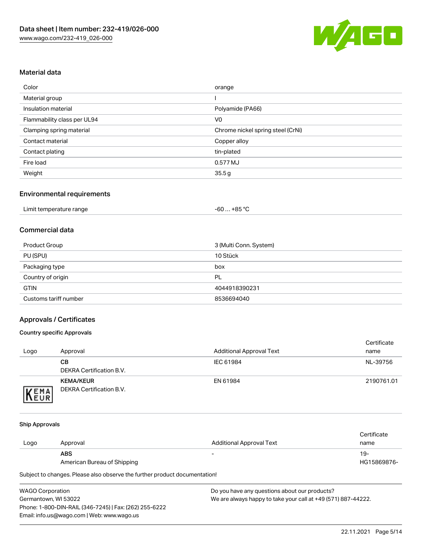

## Material data

| Color                       | orange                            |
|-----------------------------|-----------------------------------|
| Material group              |                                   |
| Insulation material         | Polyamide (PA66)                  |
| Flammability class per UL94 | V <sub>0</sub>                    |
| Clamping spring material    | Chrome nickel spring steel (CrNi) |
| Contact material            | Copper alloy                      |
| Contact plating             | tin-plated                        |
| Fire load                   | 0.577 MJ                          |
| Weight                      | 35.5g                             |

## Environmental requirements

| Limit temperature range<br>$\blacksquare$ . The contract of the contract of the contract of the contract of the contract of the contract of the contract of the contract of the contract of the contract of the contract of the contract of the contract of the | …+85 °ົ<br>-60 |  |
|-----------------------------------------------------------------------------------------------------------------------------------------------------------------------------------------------------------------------------------------------------------------|----------------|--|
|-----------------------------------------------------------------------------------------------------------------------------------------------------------------------------------------------------------------------------------------------------------------|----------------|--|

### Commercial data

| Product Group         | 3 (Multi Conn. System) |
|-----------------------|------------------------|
| PU (SPU)              | 10 Stück               |
| Packaging type        | box                    |
| Country of origin     | PL                     |
| <b>GTIN</b>           | 4044918390231          |
| Customs tariff number | 8536694040             |

# Approvals / Certificates

#### Country specific Approvals

| Logo                | Approval                                     | <b>Additional Approval Text</b> | Certificate<br>name |
|---------------------|----------------------------------------------|---------------------------------|---------------------|
|                     | CВ<br>DEKRA Certification B.V.               | IEC 61984                       | NL-39756            |
| EMA<br><b>INEUR</b> | <b>KEMA/KEUR</b><br>DEKRA Certification B.V. | EN 61984                        | 2190761.01          |

#### Ship Approvals

|      |                             |                          | Certificate |
|------|-----------------------------|--------------------------|-------------|
| Logo | Approval                    | Additional Approval Text | name        |
|      | <b>ABS</b>                  | $\overline{\phantom{0}}$ | 19-         |
|      | American Bureau of Shipping |                          | HG15869876- |

Subject to changes. Please also observe the further product documentation!

| <b>WAGO Corporation</b>                                | Do vo |
|--------------------------------------------------------|-------|
| Germantown, WI 53022                                   | We a  |
| Phone: 1-800-DIN-RAIL (346-7245)   Fax: (262) 255-6222 |       |
| Email: info.us@wago.com   Web: www.wago.us             |       |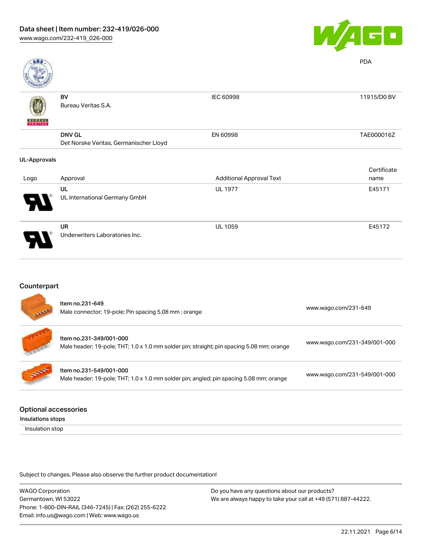

| <b>ABS</b>               |                                        |                                 | <b>PDA</b>  |
|--------------------------|----------------------------------------|---------------------------------|-------------|
|                          | BV                                     | IEC 60998                       | 11915/D0 BV |
|                          | Bureau Veritas S.A.                    |                                 |             |
| <b>BUREAU</b><br>VERITAS |                                        |                                 |             |
|                          | <b>DNV GL</b>                          | EN 60998                        | TAE000016Z  |
|                          | Det Norske Veritas, Germanischer Lloyd |                                 |             |
| <b>UL-Approvals</b>      |                                        |                                 |             |
|                          |                                        |                                 | Certificate |
| Logo                     | Approval                               | <b>Additional Approval Text</b> | name        |
|                          | UL                                     | <b>UL 1977</b>                  | E45171      |
|                          | UL International Germany GmbH          |                                 |             |
|                          | UR                                     | <b>UL 1059</b>                  | E45172      |
|                          | Underwriters Laboratories Inc.         |                                 |             |

# Counterpart

| <b>All Property</b> | Item no.231-649<br>Male connector; 19-pole; Pin spacing 5.08 mm; orange                                              | www.wago.com/231-649         |
|---------------------|----------------------------------------------------------------------------------------------------------------------|------------------------------|
|                     | Item no.231-349/001-000<br>Male header; 19-pole; THT; 1.0 x 1.0 mm solder pin; straight; pin spacing 5.08 mm; orange | www.wago.com/231-349/001-000 |
|                     | Item no.231-549/001-000<br>Male header; 19-pole; THT; 1.0 x 1.0 mm solder pin; angled; pin spacing 5.08 mm; orange   | www.wago.com/231-549/001-000 |
|                     |                                                                                                                      |                              |

## Optional accessories

Insulations stops

Insulation stop

Subject to changes. Please also observe the further product documentation!

WAGO Corporation Germantown, WI 53022 Phone: 1-800-DIN-RAIL (346-7245) | Fax: (262) 255-6222 Email: info.us@wago.com | Web: www.wago.us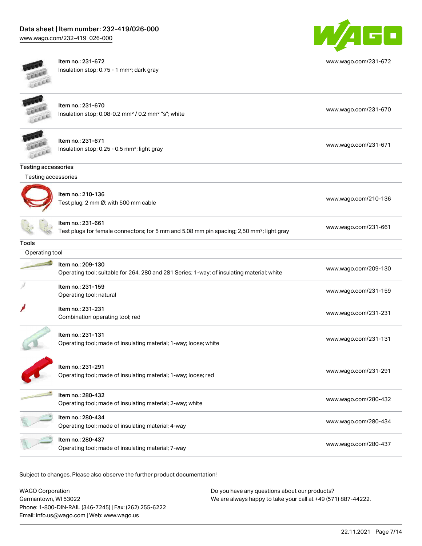[www.wago.com/232-419\\_026-000](http://www.wago.com/232-419_026-000)



Item no.: 231-672 Insulation stop; 0.75 - 1 mm²; dark gray



[www.wago.com/231-672](http://www.wago.com/231-672)

| <b>KRA</b>                 |                                                                                                                            |                      |
|----------------------------|----------------------------------------------------------------------------------------------------------------------------|----------------------|
|                            | Item no.: 231-670<br>Insulation stop; 0.08-0.2 mm <sup>2</sup> / 0.2 mm <sup>2</sup> "s"; white                            | www.wago.com/231-670 |
|                            | Item no.: 231-671<br>Insulation stop; 0.25 - 0.5 mm <sup>2</sup> ; light gray                                              | www.wago.com/231-671 |
| <b>Testing accessories</b> |                                                                                                                            |                      |
| Testing accessories        |                                                                                                                            |                      |
|                            | Item no.: 210-136<br>Test plug; 2 mm Ø; with 500 mm cable                                                                  | www.wago.com/210-136 |
|                            | Item no.: 231-661<br>Test plugs for female connectors; for 5 mm and 5.08 mm pin spacing; 2,50 mm <sup>2</sup> ; light gray | www.wago.com/231-661 |
| Tools                      |                                                                                                                            |                      |
| Operating tool             |                                                                                                                            |                      |
|                            | Item no.: 209-130<br>Operating tool; suitable for 264, 280 and 281 Series; 1-way; of insulating material; white            | www.wago.com/209-130 |
|                            | Item no.: 231-159<br>Operating tool; natural                                                                               | www.wago.com/231-159 |
|                            | Item no.: 231-231<br>Combination operating tool; red                                                                       | www.wago.com/231-231 |
|                            | Item no.: 231-131<br>Operating tool; made of insulating material; 1-way; loose; white                                      | www.wago.com/231-131 |
|                            | Item no.: 231-291<br>Operating tool; made of insulating material; 1-way; loose; red                                        | www.wago.com/231-291 |
|                            | Item no.: 280-432<br>Operating tool; made of insulating material; 2-way; white                                             | www.wago.com/280-432 |
|                            | Item no.: 280-434<br>Operating tool; made of insulating material; 4-way                                                    | www.wago.com/280-434 |
|                            | Item no.: 280-437<br>Operating tool; made of insulating material; 7-way                                                    | www.wago.com/280-437 |
|                            |                                                                                                                            |                      |

Subject to changes. Please also observe the further product documentation!

WAGO Corporation Germantown, WI 53022 Phone: 1-800-DIN-RAIL (346-7245) | Fax: (262) 255-6222 Email: info.us@wago.com | Web: www.wago.us Do you have any questions about our products? We are always happy to take your call at +49 (571) 887-44222.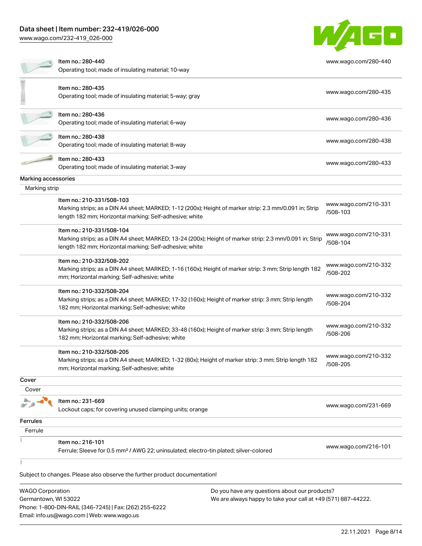Phone: 1-800-DIN-RAIL (346-7245) | Fax: (262) 255-6222

Email: info.us@wago.com | Web: www.wago.us

[www.wago.com/232-419\\_026-000](http://www.wago.com/232-419_026-000)



|                         | Item no.: 280-440                                                                                                                                                                               |                                                               | www.wago.com/280-440             |
|-------------------------|-------------------------------------------------------------------------------------------------------------------------------------------------------------------------------------------------|---------------------------------------------------------------|----------------------------------|
|                         | Operating tool; made of insulating material; 10-way                                                                                                                                             |                                                               |                                  |
|                         | Item no.: 280-435                                                                                                                                                                               |                                                               |                                  |
|                         | Operating tool; made of insulating material; 5-way; gray                                                                                                                                        |                                                               | www.wago.com/280-435             |
|                         | Item no.: 280-436                                                                                                                                                                               |                                                               | www.wago.com/280-436             |
|                         | Operating tool; made of insulating material; 6-way                                                                                                                                              |                                                               |                                  |
|                         | Item no.: 280-438<br>Operating tool; made of insulating material; 8-way                                                                                                                         |                                                               | www.wago.com/280-438             |
|                         | Item no.: 280-433<br>Operating tool; made of insulating material; 3-way                                                                                                                         |                                                               | www.wago.com/280-433             |
| Marking accessories     |                                                                                                                                                                                                 |                                                               |                                  |
| Marking strip           |                                                                                                                                                                                                 |                                                               |                                  |
|                         | Item no.: 210-331/508-103<br>Marking strips; as a DIN A4 sheet; MARKED; 1-12 (200x); Height of marker strip: 2.3 mm/0.091 in; Strip<br>length 182 mm; Horizontal marking; Self-adhesive; white  |                                                               | www.wago.com/210-331<br>/508-103 |
|                         | Item no.: 210-331/508-104<br>Marking strips; as a DIN A4 sheet; MARKED; 13-24 (200x); Height of marker strip: 2.3 mm/0.091 in; Strip<br>length 182 mm; Horizontal marking; Self-adhesive; white |                                                               | www.wago.com/210-331<br>/508-104 |
|                         | Item no.: 210-332/508-202<br>Marking strips; as a DIN A4 sheet; MARKED; 1-16 (160x); Height of marker strip: 3 mm; Strip length 182<br>mm; Horizontal marking; Self-adhesive; white             |                                                               | www.wago.com/210-332<br>/508-202 |
|                         | Item no.: 210-332/508-204<br>Marking strips; as a DIN A4 sheet; MARKED; 17-32 (160x); Height of marker strip: 3 mm; Strip length<br>182 mm; Horizontal marking; Self-adhesive; white            |                                                               | www.wago.com/210-332<br>/508-204 |
|                         | Item no.: 210-332/508-206<br>Marking strips; as a DIN A4 sheet; MARKED; 33-48 (160x); Height of marker strip: 3 mm; Strip length<br>182 mm; Horizontal marking; Self-adhesive; white            |                                                               | www.wago.com/210-332<br>/508-206 |
|                         | Item no.: 210-332/508-205<br>Marking strips; as a DIN A4 sheet; MARKED; 1-32 (80x); Height of marker strip: 3 mm; Strip length 182<br>mm; Horizontal marking; Self-adhesive; white              |                                                               | www.wago.com/210-332<br>/508-205 |
| Cover                   |                                                                                                                                                                                                 |                                                               |                                  |
| Cover                   |                                                                                                                                                                                                 |                                                               |                                  |
|                         | Item no.: 231-669<br>Lockout caps; for covering unused clamping units; orange                                                                                                                   |                                                               | www.wago.com/231-669             |
| Ferrules                |                                                                                                                                                                                                 |                                                               |                                  |
| Ferrule                 |                                                                                                                                                                                                 |                                                               |                                  |
|                         | Item no.: 216-101<br>Ferrule; Sleeve for 0.5 mm <sup>2</sup> / AWG 22; uninsulated; electro-tin plated; silver-colored                                                                          |                                                               | www.wago.com/216-101             |
|                         | Subject to changes. Please also observe the further product documentation!                                                                                                                      |                                                               |                                  |
| <b>WAGO Corporation</b> |                                                                                                                                                                                                 | Do you have any questions about our products?                 |                                  |
| Germantown, WI 53022    |                                                                                                                                                                                                 | We are always happy to take your call at +49 (571) 887-44222. |                                  |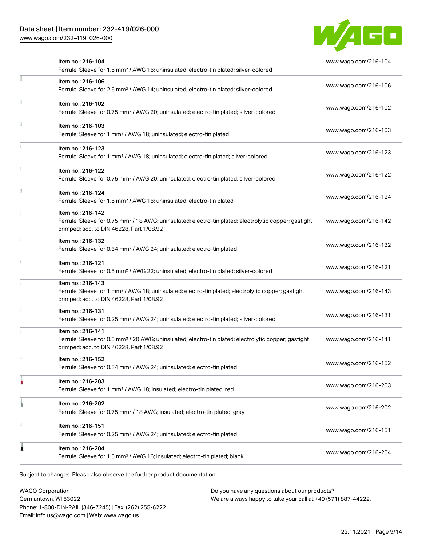[www.wago.com/232-419\\_026-000](http://www.wago.com/232-419_026-000)



|    | Item no.: 216-104<br>Ferrule; Sleeve for 1.5 mm <sup>2</sup> / AWG 16; uninsulated; electro-tin plated; silver-colored                                                             | www.wago.com/216-104 |
|----|------------------------------------------------------------------------------------------------------------------------------------------------------------------------------------|----------------------|
| E  | Item no.: 216-106<br>Ferrule; Sleeve for 2.5 mm <sup>2</sup> / AWG 14; uninsulated; electro-tin plated; silver-colored                                                             | www.wago.com/216-106 |
|    | Item no.: 216-102<br>Ferrule; Sleeve for 0.75 mm <sup>2</sup> / AWG 20; uninsulated; electro-tin plated; silver-colored                                                            | www.wago.com/216-102 |
|    | Item no.: 216-103<br>Ferrule; Sleeve for 1 mm <sup>2</sup> / AWG 18; uninsulated; electro-tin plated                                                                               | www.wago.com/216-103 |
|    | Item no.: 216-123<br>Ferrule; Sleeve for 1 mm <sup>2</sup> / AWG 18; uninsulated; electro-tin plated; silver-colored                                                               | www.wago.com/216-123 |
|    | Item no.: 216-122<br>Ferrule; Sleeve for 0.75 mm <sup>2</sup> / AWG 20; uninsulated; electro-tin plated; silver-colored                                                            | www.wago.com/216-122 |
| I. | Item no.: 216-124<br>Ferrule; Sleeve for 1.5 mm <sup>2</sup> / AWG 16; uninsulated; electro-tin plated                                                                             | www.wago.com/216-124 |
|    | Item no.: 216-142<br>Ferrule; Sleeve for 0.75 mm <sup>2</sup> / 18 AWG; uninsulated; electro-tin plated; electrolytic copper; gastight<br>crimped; acc. to DIN 46228, Part 1/08.92 | www.wago.com/216-142 |
|    | Item no.: 216-132<br>Ferrule; Sleeve for 0.34 mm <sup>2</sup> / AWG 24; uninsulated; electro-tin plated                                                                            | www.wago.com/216-132 |
|    | Item no.: 216-121<br>Ferrule; Sleeve for 0.5 mm <sup>2</sup> / AWG 22; uninsulated; electro-tin plated; silver-colored                                                             | www.wago.com/216-121 |
|    | Item no.: 216-143<br>Ferrule; Sleeve for 1 mm <sup>2</sup> / AWG 18; uninsulated; electro-tin plated; electrolytic copper; gastight<br>crimped; acc. to DIN 46228, Part 1/08.92    | www.wago.com/216-143 |
|    | Item no.: 216-131<br>Ferrule; Sleeve for 0.25 mm <sup>2</sup> / AWG 24; uninsulated; electro-tin plated; silver-colored                                                            | www.wago.com/216-131 |
|    | Item no.: 216-141<br>Ferrule; Sleeve for 0.5 mm <sup>2</sup> / 20 AWG; uninsulated; electro-tin plated; electrolytic copper; gastight<br>crimped; acc. to DIN 46228, Part 1/08.92  | www.wago.com/216-141 |
|    | Item no.: 216-152<br>Ferrule; Sleeve for 0.34 mm <sup>2</sup> / AWG 24; uninsulated; electro-tin plated                                                                            | www.wago.com/216-152 |
|    | Item no.: 216-203<br>Ferrule; Sleeve for 1 mm <sup>2</sup> / AWG 18; insulated; electro-tin plated; red                                                                            | www.wago.com/216-203 |
|    | Item no.: 216-202<br>Ferrule; Sleeve for 0.75 mm <sup>2</sup> / 18 AWG; insulated; electro-tin plated; gray                                                                        | www.wago.com/216-202 |
|    | Item no.: 216-151<br>Ferrule; Sleeve for 0.25 mm <sup>2</sup> / AWG 24; uninsulated; electro-tin plated                                                                            | www.wago.com/216-151 |
|    | Item no.: 216-204<br>Ferrule; Sleeve for 1.5 mm <sup>2</sup> / AWG 16; insulated; electro-tin plated; black                                                                        | www.wago.com/216-204 |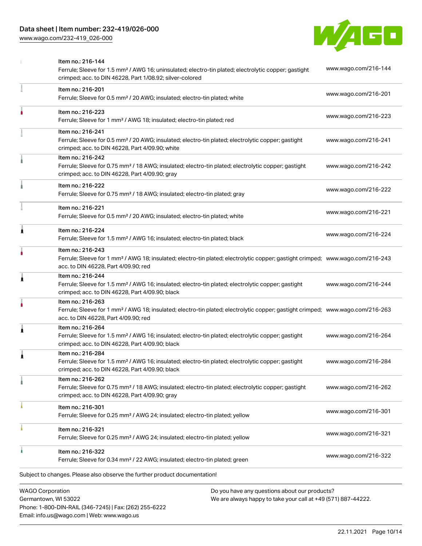[www.wago.com/232-419\\_026-000](http://www.wago.com/232-419_026-000)



|   | <b>WAGO Corporation</b><br>Do you have any questions about our products?                                                                                                                                |                      |
|---|---------------------------------------------------------------------------------------------------------------------------------------------------------------------------------------------------------|----------------------|
|   | Subject to changes. Please also observe the further product documentation!                                                                                                                              |                      |
|   | Item no.: 216-322<br>Ferrule; Sleeve for 0.34 mm <sup>2</sup> / 22 AWG; insulated; electro-tin plated; green                                                                                            | www.wago.com/216-322 |
|   | Item no.: 216-321<br>Ferrule; Sleeve for 0.25 mm <sup>2</sup> / AWG 24; insulated; electro-tin plated; yellow                                                                                           | www.wago.com/216-321 |
|   | Item no.: 216-301<br>Ferrule; Sleeve for 0.25 mm <sup>2</sup> / AWG 24; insulated; electro-tin plated; yellow                                                                                           | www.wago.com/216-301 |
|   | Item no.: 216-262<br>Ferrule; Sleeve for 0.75 mm <sup>2</sup> / 18 AWG; insulated; electro-tin plated; electrolytic copper; gastight<br>crimped; acc. to DIN 46228, Part 4/09.90; gray                  | www.wago.com/216-262 |
|   | Item no.: 216-284<br>Ferrule; Sleeve for 1.5 mm <sup>2</sup> / AWG 16; insulated; electro-tin plated; electrolytic copper; gastight<br>crimped; acc. to DIN 46228, Part 4/09.90; black                  | www.wago.com/216-284 |
| 1 | Item no.: 216-264<br>Ferrule; Sleeve for 1.5 mm <sup>2</sup> / AWG 16; insulated; electro-tin plated; electrolytic copper; gastight<br>crimped; acc. to DIN 46228, Part 4/09.90; black                  | www.wago.com/216-264 |
|   | Item no.: 216-263<br>Ferrule; Sleeve for 1 mm <sup>2</sup> / AWG 18; insulated; electro-tin plated; electrolytic copper; gastight crimped; www.wago.com/216-263<br>acc. to DIN 46228, Part 4/09.90; red |                      |
| 1 | Item no.: 216-244<br>Ferrule; Sleeve for 1.5 mm <sup>2</sup> / AWG 16; insulated; electro-tin plated; electrolytic copper; gastight<br>crimped; acc. to DIN 46228, Part 4/09.90; black                  | www.wago.com/216-244 |
|   | Item no.: 216-243<br>Ferrule; Sleeve for 1 mm <sup>2</sup> / AWG 18; insulated; electro-tin plated; electrolytic copper; gastight crimped; www.wago.com/216-243<br>acc. to DIN 46228, Part 4/09.90; red |                      |
| Ă | Item no.: 216-224<br>Ferrule; Sleeve for 1.5 mm <sup>2</sup> / AWG 16; insulated; electro-tin plated; black                                                                                             | www.wago.com/216-224 |
|   | Item no.: 216-221<br>Ferrule; Sleeve for 0.5 mm <sup>2</sup> / 20 AWG; insulated; electro-tin plated; white                                                                                             | www.wago.com/216-221 |
|   | Item no.: 216-222<br>Ferrule; Sleeve for 0.75 mm <sup>2</sup> / 18 AWG; insulated; electro-tin plated; gray                                                                                             | www.wago.com/216-222 |
|   | Item no.: 216-242<br>Ferrule; Sleeve for 0.75 mm <sup>2</sup> / 18 AWG; insulated; electro-tin plated; electrolytic copper; gastight<br>crimped; acc. to DIN 46228, Part 4/09.90; gray                  | www.wago.com/216-242 |
|   | Item no.: 216-241<br>Ferrule; Sleeve for 0.5 mm <sup>2</sup> / 20 AWG; insulated; electro-tin plated; electrolytic copper; gastight<br>crimped; acc. to DIN 46228, Part 4/09.90; white                  | www.wago.com/216-241 |
|   | Item no.: 216-223<br>Ferrule; Sleeve for 1 mm <sup>2</sup> / AWG 18; insulated; electro-tin plated; red                                                                                                 | www.wago.com/216-223 |
|   | Item no.: 216-201<br>Ferrule; Sleeve for 0.5 mm <sup>2</sup> / 20 AWG; insulated; electro-tin plated; white                                                                                             | www.wago.com/216-201 |
|   | Item no.: 216-144<br>Ferrule; Sleeve for 1.5 mm <sup>2</sup> / AWG 16; uninsulated; electro-tin plated; electrolytic copper; gastight<br>crimped; acc. to DIN 46228, Part 1/08.92; silver-colored       | www.wago.com/216-144 |

Germantown, WI 53022 Phone: 1-800-DIN-RAIL (346-7245) | Fax: (262) 255-6222 Email: info.us@wago.com | Web: www.wago.us

have any questions about o<mark>l</mark> We are always happy to take your call at +49 (571) 887-44222.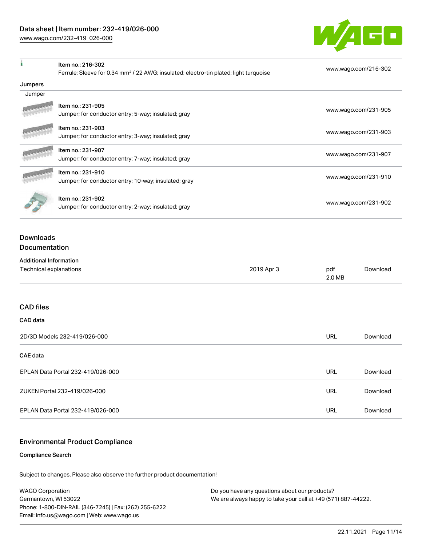[www.wago.com/232-419\\_026-000](http://www.wago.com/232-419_026-000)

 $\overline{1}$ 



| ٠                                                       | Item no.: 216-302<br>Ferrule; Sleeve for 0.34 mm <sup>2</sup> / 22 AWG; insulated; electro-tin plated; light turquoise |            |                      | www.wago.com/216-302 |  |
|---------------------------------------------------------|------------------------------------------------------------------------------------------------------------------------|------------|----------------------|----------------------|--|
| Jumpers                                                 |                                                                                                                        |            |                      |                      |  |
| Jumper                                                  |                                                                                                                        |            |                      |                      |  |
|                                                         | Item no.: 231-905                                                                                                      |            | www.wago.com/231-905 |                      |  |
|                                                         | Jumper; for conductor entry; 5-way; insulated; gray                                                                    |            |                      |                      |  |
|                                                         | Item no.: 231-903                                                                                                      |            | www.wago.com/231-903 |                      |  |
|                                                         | Jumper; for conductor entry; 3-way; insulated; gray                                                                    |            |                      |                      |  |
|                                                         | Item no.: 231-907                                                                                                      |            | www.wago.com/231-907 |                      |  |
|                                                         | Jumper; for conductor entry; 7-way; insulated; gray                                                                    |            |                      |                      |  |
|                                                         | Item no.: 231-910                                                                                                      |            | www.wago.com/231-910 |                      |  |
|                                                         | Jumper; for conductor entry; 10-way; insulated; gray                                                                   |            |                      |                      |  |
|                                                         | Item no.: 231-902                                                                                                      |            |                      |                      |  |
|                                                         | Jumper; for conductor entry; 2-way; insulated; gray                                                                    |            | www.wago.com/231-902 |                      |  |
| <b>Additional Information</b><br>Technical explanations |                                                                                                                        | 2019 Apr 3 | pdf<br>2.0 MB        | Download             |  |
|                                                         |                                                                                                                        |            |                      |                      |  |
| <b>CAD</b> files                                        |                                                                                                                        |            |                      |                      |  |
| CAD data                                                |                                                                                                                        |            |                      |                      |  |
| 2D/3D Models 232-419/026-000                            |                                                                                                                        |            | <b>URL</b>           | Download             |  |
| <b>CAE</b> data                                         |                                                                                                                        |            |                      |                      |  |
| EPLAN Data Portal 232-419/026-000                       |                                                                                                                        |            | <b>URL</b>           | Download             |  |
| ZUKEN Portal 232-419/026-000                            |                                                                                                                        |            | URL                  | Download             |  |
| EPLAN Data Portal 232-419/026-000                       |                                                                                                                        |            | <b>URL</b>           | Download             |  |

# Environmental Product Compliance

#### Compliance Search

Subject to changes. Please also observe the further product documentation!

WAGO Corporation Germantown, WI 53022 Phone: 1-800-DIN-RAIL (346-7245) | Fax: (262) 255-6222 Email: info.us@wago.com | Web: www.wago.us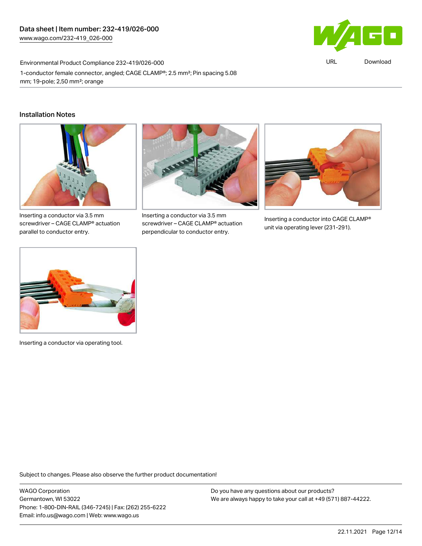

URL [Download](https://www.wago.com/global/d/ComplianceLinkMediaContainer_232-419_026-000)

Environmental Product Compliance 232-419/026-000 1-conductor female connector, angled; CAGE CLAMP®; 2.5 mm²; Pin spacing 5.08 mm; 19-pole; 2,50 mm²; orange

#### Installation Notes



Inserting a conductor via 3.5 mm screwdriver – CAGE CLAMP® actuation parallel to conductor entry.



Inserting a conductor via 3.5 mm screwdriver – CAGE CLAMP® actuation perpendicular to conductor entry.



Inserting a conductor into CAGE CLAMP® unit via operating lever (231-291).



Inserting a conductor via operating tool.

Subject to changes. Please also observe the further product documentation!

WAGO Corporation Germantown, WI 53022 Phone: 1-800-DIN-RAIL (346-7245) | Fax: (262) 255-6222 Email: info.us@wago.com | Web: www.wago.us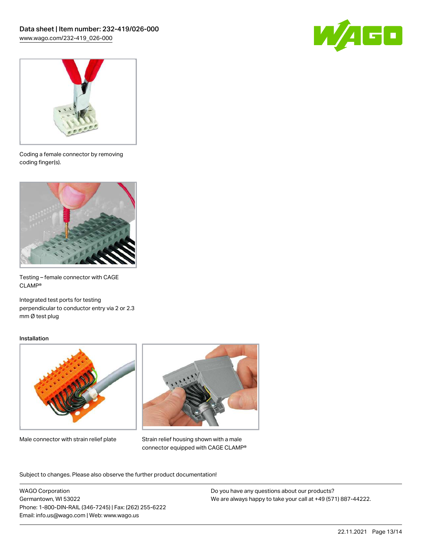



Coding a female connector by removing coding finger(s).



Testing – female connector with CAGE CLAMP®

Integrated test ports for testing perpendicular to conductor entry via 2 or 2.3 mm Ø test plug

#### Installation



Male connector with strain relief plate



Strain relief housing shown with a male connector equipped with CAGE CLAMP®

Subject to changes. Please also observe the further product documentation!

WAGO Corporation Germantown, WI 53022 Phone: 1-800-DIN-RAIL (346-7245) | Fax: (262) 255-6222 Email: info.us@wago.com | Web: www.wago.us